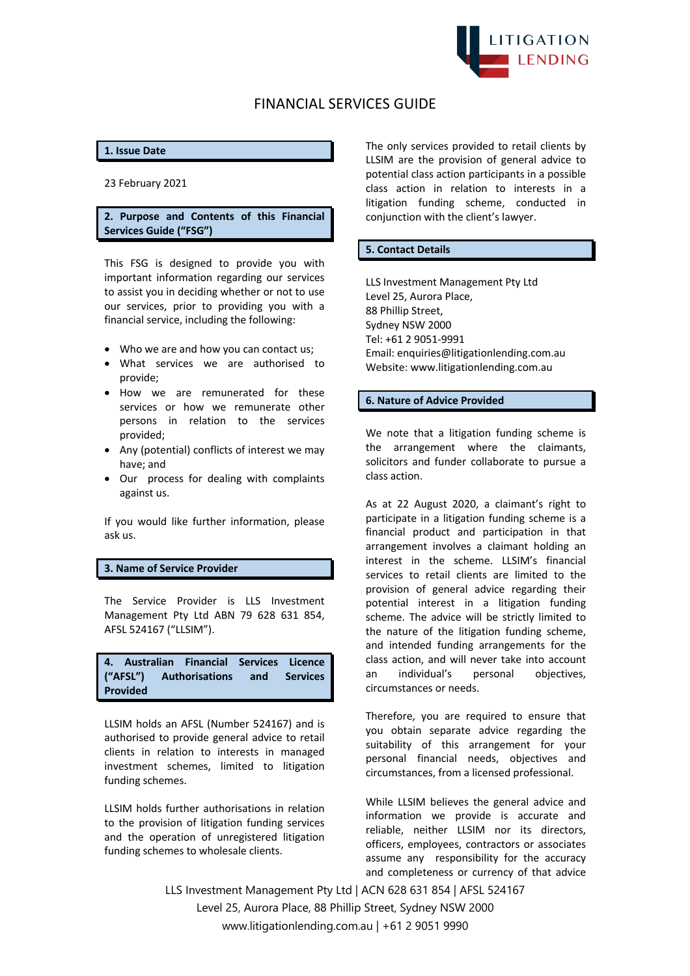

# FINANCIAL SERVICES GUIDE

# **1. Issue Date**

23 February 2021

# **2. Purpose and Contents of this Financial Services Guide ("FSG")**

This FSG is designed to provide you with important information regarding our services to assist you in deciding whether or not to use our services, prior to providing you with a financial service, including the following:

- Who we are and how you can contact us;
- What services we are authorised to provide;
- How we are remunerated for these services or how we remunerate other persons in relation to the services provided;
- Any (potential) conflicts of interest we may have; and
- Our process for dealing with complaints against us.

If you would like further information, please ask us.

# **3. Name of Service Provider**

The Service Provider is LLS Investment Management Pty Ltd ABN 79 628 631 854, AFSL 524167 ("LLSIM").

**4. Australian Financial Services Licence ("AFSL") Authorisations and Services Provided**

LLSIM holds an AFSL (Number 524167) and is authorised to provide general advice to retail clients in relation to interests in managed investment schemes, limited to litigation funding schemes.

LLSIM holds further authorisations in relation to the provision of litigation funding services and the operation of unregistered litigation funding schemes to wholesale clients.

The only services provided to retail clients by LLSIM are the provision of general advice to potential class action participants in a possible class action in relation to interests in a litigation funding scheme, conducted in conjunction with the client's lawyer.

#### **5. Contact Details**

LLS Investment Management Pty Ltd Level 25, Aurora Place, 88 Phillip Street, Sydney NSW 2000 Tel: +61 2 9051-9991 Email: enquiries@litigationlending.com.au Website: www.litigationlending.com.au

#### **6. Nature of Advice Provided**

We note that a litigation funding scheme is the arrangement where the claimants, solicitors and funder collaborate to pursue a class action.

As at 22 August 2020, a claimant's right to participate in a litigation funding scheme is a financial product and participation in that arrangement involves a claimant holding an interest in the scheme. LLSIM's financial services to retail clients are limited to the provision of general advice regarding their potential interest in a litigation funding scheme. The advice will be strictly limited to the nature of the litigation funding scheme, and intended funding arrangements for the class action, and will never take into account an individual's personal objectives, circumstances or needs.

Therefore, you are required to ensure that you obtain separate advice regarding the suitability of this arrangement for your personal financial needs, objectives and circumstances, from a licensed professional.

While LLSIM believes the general advice and information we provide is accurate and reliable, neither LLSIM nor its directors, officers, employees, contractors or associates assume any responsibility for the accuracy and completeness or currency of that advice

LLS Investment Management Pty Ltd | ACN 628 631 854 | AFSL 524167 Level 25, Aurora Place, 88 Phillip Street, Sydney NSW 2000 www.litigationlending.com.au | +61 2 9051 9990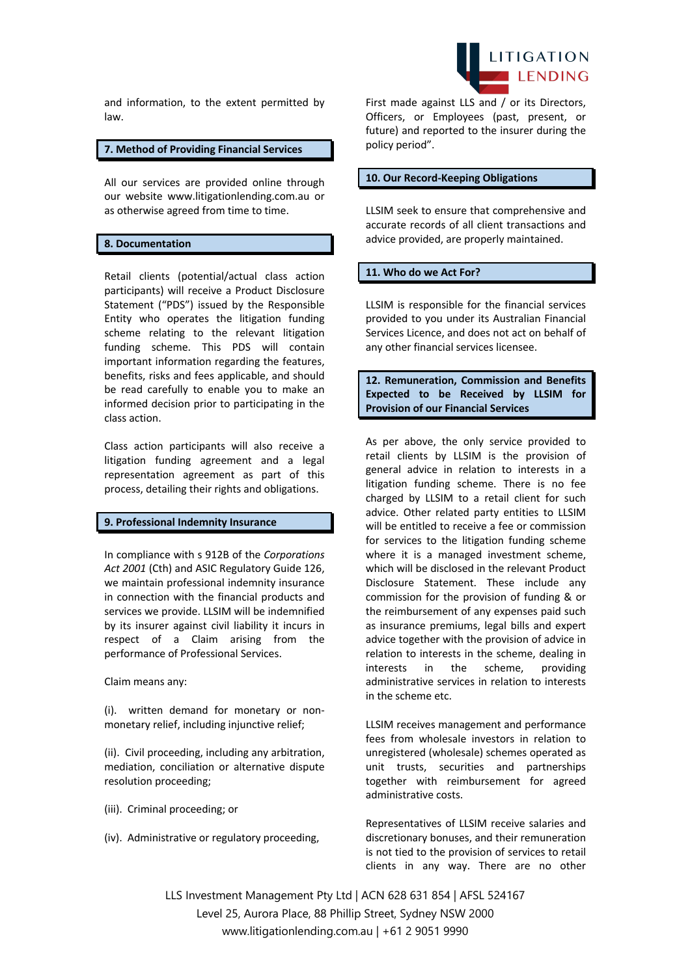and information, to the extent permitted by law.

#### **7. Method of Providing Financial Services**

All our services are provided online through our website www.litigationlending.com.au or as otherwise agreed from time to time.

# **8. Documentation**

Retail clients (potential/actual class action participants) will receive a Product Disclosure Statement ("PDS") issued by the Responsible Entity who operates the litigation funding scheme relating to the relevant litigation funding scheme. This PDS will contain important information regarding the features, benefits, risks and fees applicable, and should be read carefully to enable you to make an informed decision prior to participating in the class action.

Class action participants will also receive a litigation funding agreement and a legal representation agreement as part of this process, detailing their rights and obligations.

## **9. Professional Indemnity Insurance**

In compliance with s 912B of the *Corporations Act 2001* (Cth) and ASIC Regulatory Guide 126, we maintain professional indemnity insurance in connection with the financial products and services we provide. LLSIM will be indemnified by its insurer against civil liability it incurs in respect of a Claim arising from the performance of Professional Services.

Claim means any:

(i). written demand for monetary or nonmonetary relief, including injunctive relief;

(ii). Civil proceeding, including any arbitration, mediation, conciliation or alternative dispute resolution proceeding;

- (iii). Criminal proceeding; or
- (iv). Administrative or regulatory proceeding,



First made against LLS and / or its Directors, Officers, or Employees (past, present, or future) and reported to the insurer during the policy period".

# **10. Our Record-Keeping Obligations**

LLSIM seek to ensure that comprehensive and accurate records of all client transactions and advice provided, are properly maintained.

#### **11. Who do we Act For?**

LLSIM is responsible for the financial services provided to you under its Australian Financial Services Licence, and does not act on behalf of any other financial services licensee.

**12. Remuneration, Commission and Benefits Expected to be Received by LLSIM for Provision of our Financial Services**

As per above, the only service provided to retail clients by LLSIM is the provision of general advice in relation to interests in a litigation funding scheme. There is no fee charged by LLSIM to a retail client for such advice. Other related party entities to LLSIM will be entitled to receive a fee or commission for services to the litigation funding scheme where it is a managed investment scheme, which will be disclosed in the relevant Product Disclosure Statement. These include any commission for the provision of funding & or the reimbursement of any expenses paid such as insurance premiums, legal bills and expert advice together with the provision of advice in relation to interests in the scheme, dealing in interests in the scheme, providing administrative services in relation to interests in the scheme etc.

LLSIM receives management and performance fees from wholesale investors in relation to unregistered (wholesale) schemes operated as unit trusts, securities and partnerships together with reimbursement for agreed administrative costs.

Representatives of LLSIM receive salaries and discretionary bonuses, and their remuneration is not tied to the provision of services to retail clients in any way. There are no other

LLS Investment Management Pty Ltd | ACN 628 631 854 | AFSL 524167 Level 25, Aurora Place, 88 Phillip Street, Sydney NSW 2000 www.litigationlending.com.au | +61 2 9051 9990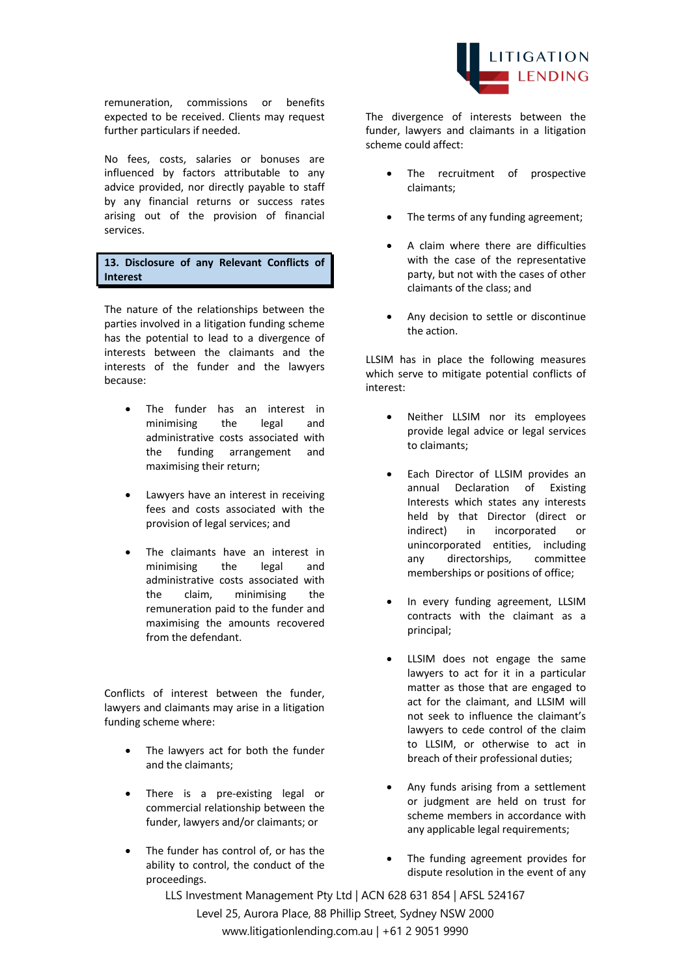remuneration, commissions or benefits expected to be received. Clients may request further particulars if needed.

No fees, costs, salaries or bonuses are influenced by factors attributable to any advice provided, nor directly payable to staff by any financial returns or success rates arising out of the provision of financial services.

**13. Disclosure of any Relevant Conflicts of Interest**

The nature of the relationships between the parties involved in a litigation funding scheme has the potential to lead to a divergence of interests between the claimants and the interests of the funder and the lawyers because:

- The funder has an interest in minimising the legal and administrative costs associated with the funding arrangement and maximising their return;
- Lawyers have an interest in receiving fees and costs associated with the provision of legal services; and
- The claimants have an interest in minimising the legal and administrative costs associated with the claim, minimising the remuneration paid to the funder and maximising the amounts recovered from the defendant.

Conflicts of interest between the funder, lawyers and claimants may arise in a litigation funding scheme where:

- The lawyers act for both the funder and the claimants;
- There is a pre-existing legal or commercial relationship between the funder, lawyers and/or claimants; or
- The funder has control of, or has the ability to control, the conduct of the proceedings.



The divergence of interests between the funder, lawyers and claimants in a litigation scheme could affect:

- The recruitment of prospective claimants;
- The terms of any funding agreement;
- A claim where there are difficulties with the case of the representative party, but not with the cases of other claimants of the class; and
- Any decision to settle or discontinue the action.

LLSIM has in place the following measures which serve to mitigate potential conflicts of interest:

- Neither LLSIM nor its employees provide legal advice or legal services to claimants;
- Each Director of LLSIM provides an annual Declaration of Existing Interests which states any interests held by that Director (direct or indirect) in incorporated or unincorporated entities, including any directorships, committee memberships or positions of office;
- In every funding agreement, LLSIM contracts with the claimant as a principal;
- LLSIM does not engage the same lawyers to act for it in a particular matter as those that are engaged to act for the claimant, and LLSIM will not seek to influence the claimant's lawyers to cede control of the claim to LLSIM, or otherwise to act in breach of their professional duties;
- Any funds arising from a settlement or judgment are held on trust for scheme members in accordance with any applicable legal requirements;
- The funding agreement provides for dispute resolution in the event of any

LLS Investment Management Pty Ltd | ACN 628 631 854 | AFSL 524167 Level 25, Aurora Place, 88 Phillip Street, Sydney NSW 2000 www.litigationlending.com.au | +61 2 9051 9990